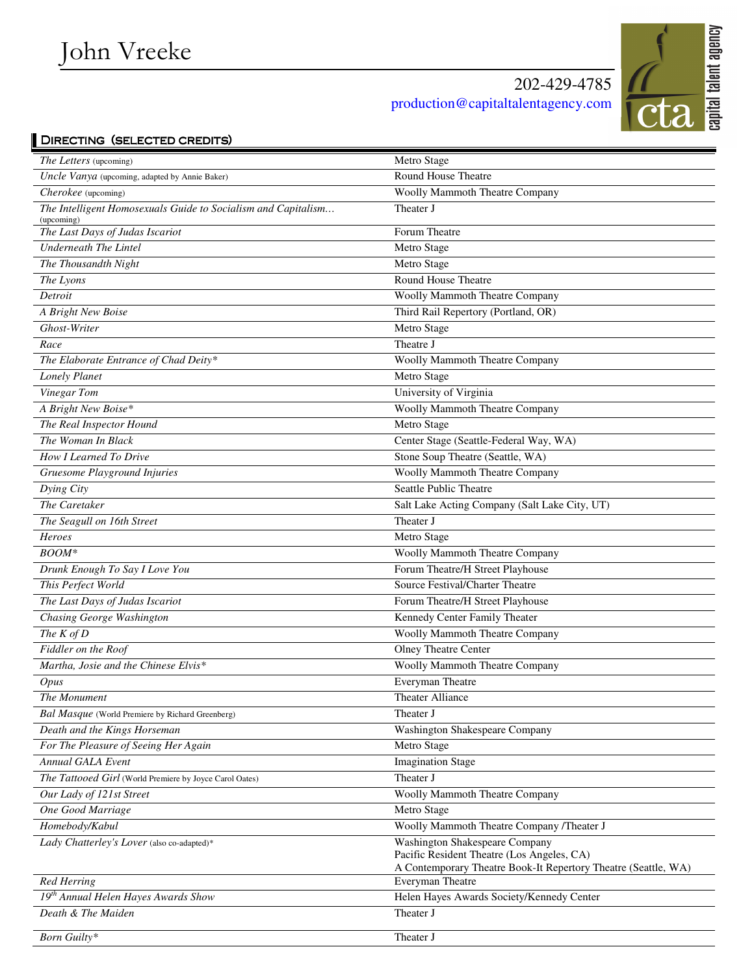## 202-429-4785 production@capitaltalentagency.com



## DIRECTING (SELECTED CREDITS)

| <i>The Letters</i> (upcoming)                                               | Metro Stage                                                    |
|-----------------------------------------------------------------------------|----------------------------------------------------------------|
| Uncle Vanya (upcoming, adapted by Annie Baker)                              | Round House Theatre                                            |
| Cherokee (upcoming)                                                         | Woolly Mammoth Theatre Company                                 |
| The Intelligent Homosexuals Guide to Socialism and Capitalism<br>(upcoming) | Theater J                                                      |
| The Last Days of Judas Iscariot                                             | Forum Theatre                                                  |
| <b>Underneath The Lintel</b>                                                | Metro Stage                                                    |
| The Thousandth Night                                                        | Metro Stage                                                    |
| The Lyons                                                                   | Round House Theatre                                            |
| Detroit                                                                     | <b>Woolly Mammoth Theatre Company</b>                          |
| A Bright New Boise                                                          | Third Rail Repertory (Portland, OR)                            |
| Ghost-Writer                                                                | Metro Stage                                                    |
| Race                                                                        | Theatre J                                                      |
| The Elaborate Entrance of Chad Deity*                                       | Woolly Mammoth Theatre Company                                 |
| Lonely Planet                                                               | Metro Stage                                                    |
| Vinegar Tom                                                                 | University of Virginia                                         |
| A Bright New Boise*                                                         | Woolly Mammoth Theatre Company                                 |
| The Real Inspector Hound                                                    | Metro Stage                                                    |
| The Woman In Black                                                          | Center Stage (Seattle-Federal Way, WA)                         |
| How I Learned To Drive                                                      | Stone Soup Theatre (Seattle, WA)                               |
| Gruesome Playground Injuries                                                | <b>Woolly Mammoth Theatre Company</b>                          |
| Dying City                                                                  | Seattle Public Theatre                                         |
| The Caretaker                                                               | Salt Lake Acting Company (Salt Lake City, UT)                  |
| The Seagull on 16th Street                                                  | Theater J                                                      |
| Heroes                                                                      | Metro Stage                                                    |
| $B O O M^*$                                                                 | Woolly Mammoth Theatre Company                                 |
| Drunk Enough To Say I Love You                                              | Forum Theatre/H Street Playhouse                               |
| This Perfect World                                                          | Source Festival/Charter Theatre                                |
| The Last Days of Judas Iscariot                                             | Forum Theatre/H Street Playhouse                               |
| Chasing George Washington                                                   | Kennedy Center Family Theater                                  |
| The $K$ of $D$                                                              | <b>Woolly Mammoth Theatre Company</b>                          |
| Fiddler on the Roof                                                         | Olney Theatre Center                                           |
| Martha, Josie and the Chinese Elvis*                                        | <b>Woolly Mammoth Theatre Company</b>                          |
| <i>Opus</i>                                                                 | Everyman Theatre                                               |
| The Monument                                                                | <b>Theater Alliance</b>                                        |
| <b>Bal Masque</b> (World Premiere by Richard Greenberg)                     | Theater J                                                      |
| Death and the Kings Horseman                                                | Washington Shakespeare Company                                 |
| For The Pleasure of Seeing Her Again                                        | Metro Stage                                                    |
| Annual GALA Event                                                           | <b>Imagination Stage</b>                                       |
| The Tattooed Girl (World Premiere by Joyce Carol Oates)                     | Theater J                                                      |
| Our Lady of 121st Street                                                    | Woolly Mammoth Theatre Company                                 |
| One Good Marriage                                                           | Metro Stage                                                    |
| Homebody/Kabul                                                              | Woolly Mammoth Theatre Company /Theater J                      |
| Lady Chatterley's Lover (also co-adapted)*                                  | <b>Washington Shakespeare Company</b>                          |
|                                                                             | Pacific Resident Theatre (Los Angeles, CA)                     |
|                                                                             | A Contemporary Theatre Book-It Repertory Theatre (Seattle, WA) |
| <b>Red Herring</b>                                                          | Everyman Theatre                                               |
| 19 <sup>th</sup> Annual Helen Hayes Awards Show                             | Helen Hayes Awards Society/Kennedy Center                      |
| Death & The Maiden                                                          | Theater J                                                      |
| Born Guilty*                                                                | Theater J                                                      |